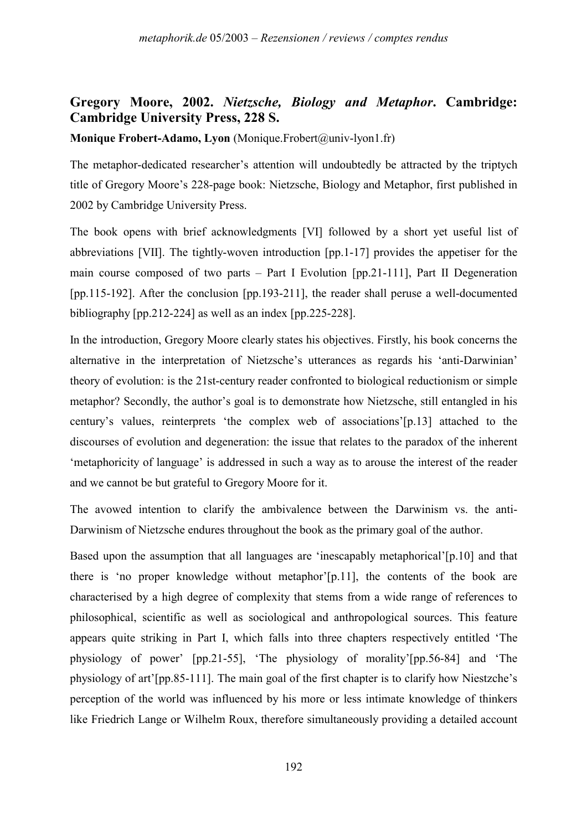## **Gregory Moore, 2002.** *Nietzsche, Biology and Metaphor***. Cambridge: Cambridge University Press, 228 S.**

**Monique Frobert-Adamo, Lyon** (Monique.Frobert@univ-lyon1.fr)

The metaphor-dedicated researcher's attention will undoubtedly be attracted by the triptych title of Gregory Moore's 228-page book: Nietzsche, Biology and Metaphor, first published in 2002 by Cambridge University Press.

The book opens with brief acknowledgments [VI] followed by a short yet useful list of abbreviations [VII]. The tightly-woven introduction [pp.1-17] provides the appetiser for the main course composed of two parts – Part I Evolution [pp.21-111], Part II Degeneration [pp.115-192]. After the conclusion [pp.193-211], the reader shall peruse a well-documented bibliography [pp.212-224] as well as an index [pp.225-228].

In the introduction, Gregory Moore clearly states his objectives. Firstly, his book concerns the alternative in the interpretation of Nietzsche's utterances as regards his 'anti-Darwinian' theory of evolution: is the 21st-century reader confronted to biological reductionism or simple metaphor? Secondly, the author's goal is to demonstrate how Nietzsche, still entangled in his century's values, reinterprets 'the complex web of associations'[p.13] attached to the discourses of evolution and degeneration: the issue that relates to the paradox of the inherent 'metaphoricity of language' is addressed in such a way as to arouse the interest of the reader and we cannot be but grateful to Gregory Moore for it.

The avowed intention to clarify the ambivalence between the Darwinism vs. the anti-Darwinism of Nietzsche endures throughout the book as the primary goal of the author.

Based upon the assumption that all languages are 'inescapably metaphorical'[p.10] and that there is 'no proper knowledge without metaphor'[p.11], the contents of the book are characterised by a high degree of complexity that stems from a wide range of references to philosophical, scientific as well as sociological and anthropological sources. This feature appears quite striking in Part I, which falls into three chapters respectively entitled 'The physiology of power' [pp.21-55], 'The physiology of morality'[pp.56-84] and 'The physiology of art'[pp.85-111]. The main goal of the first chapter is to clarify how Niestzche's perception of the world was influenced by his more or less intimate knowledge of thinkers like Friedrich Lange or Wilhelm Roux, therefore simultaneously providing a detailed account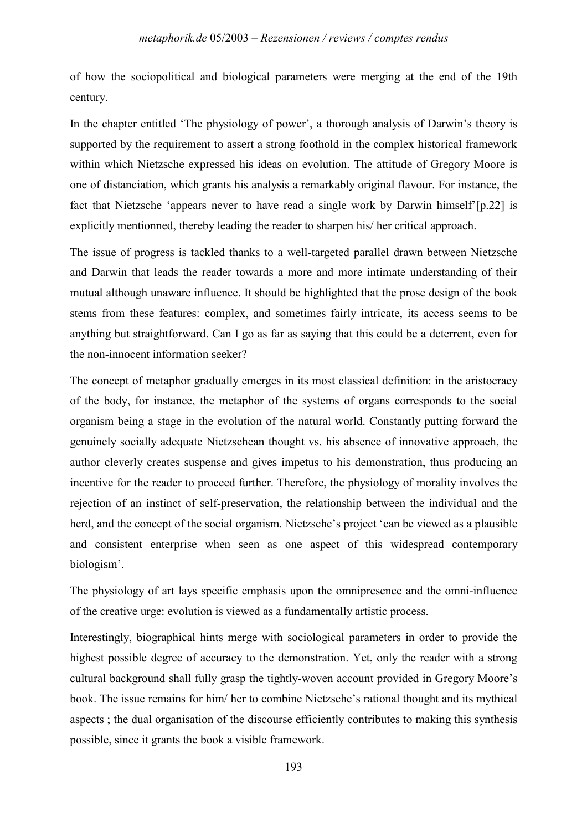of how the sociopolitical and biological parameters were merging at the end of the 19th century.

In the chapter entitled 'The physiology of power', a thorough analysis of Darwin's theory is supported by the requirement to assert a strong foothold in the complex historical framework within which Nietzsche expressed his ideas on evolution. The attitude of Gregory Moore is one of distanciation, which grants his analysis a remarkably original flavour. For instance, the fact that Nietzsche 'appears never to have read a single work by Darwin himself'[p.22] is explicitly mentionned, thereby leading the reader to sharpen his/ her critical approach.

The issue of progress is tackled thanks to a well-targeted parallel drawn between Nietzsche and Darwin that leads the reader towards a more and more intimate understanding of their mutual although unaware influence. It should be highlighted that the prose design of the book stems from these features: complex, and sometimes fairly intricate, its access seems to be anything but straightforward. Can I go as far as saying that this could be a deterrent, even for the non-innocent information seeker?

The concept of metaphor gradually emerges in its most classical definition: in the aristocracy of the body, for instance, the metaphor of the systems of organs corresponds to the social organism being a stage in the evolution of the natural world. Constantly putting forward the genuinely socially adequate Nietzschean thought vs. his absence of innovative approach, the author cleverly creates suspense and gives impetus to his demonstration, thus producing an incentive for the reader to proceed further. Therefore, the physiology of morality involves the rejection of an instinct of self-preservation, the relationship between the individual and the herd, and the concept of the social organism. Nietzsche's project 'can be viewed as a plausible and consistent enterprise when seen as one aspect of this widespread contemporary biologism'.

The physiology of art lays specific emphasis upon the omnipresence and the omni-influence of the creative urge: evolution is viewed as a fundamentally artistic process.

Interestingly, biographical hints merge with sociological parameters in order to provide the highest possible degree of accuracy to the demonstration. Yet, only the reader with a strong cultural background shall fully grasp the tightly-woven account provided in Gregory Moore's book. The issue remains for him/ her to combine Nietzsche's rational thought and its mythical aspects ; the dual organisation of the discourse efficiently contributes to making this synthesis possible, since it grants the book a visible framework.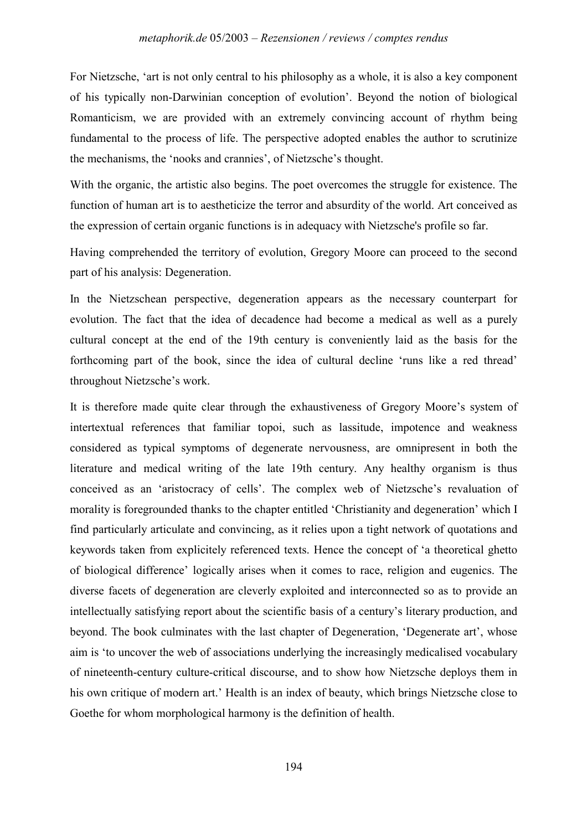For Nietzsche, 'art is not only central to his philosophy as a whole, it is also a key component of his typically non-Darwinian conception of evolution'. Beyond the notion of biological Romanticism, we are provided with an extremely convincing account of rhythm being fundamental to the process of life. The perspective adopted enables the author to scrutinize the mechanisms, the 'nooks and crannies', of Nietzsche's thought.

With the organic, the artistic also begins. The poet overcomes the struggle for existence. The function of human art is to aestheticize the terror and absurdity of the world. Art conceived as the expression of certain organic functions is in adequacy with Nietzsche's profile so far.

Having comprehended the territory of evolution, Gregory Moore can proceed to the second part of his analysis: Degeneration.

In the Nietzschean perspective, degeneration appears as the necessary counterpart for evolution. The fact that the idea of decadence had become a medical as well as a purely cultural concept at the end of the 19th century is conveniently laid as the basis for the forthcoming part of the book, since the idea of cultural decline 'runs like a red thread' throughout Nietzsche's work.

It is therefore made quite clear through the exhaustiveness of Gregory Moore's system of intertextual references that familiar topoi, such as lassitude, impotence and weakness considered as typical symptoms of degenerate nervousness, are omnipresent in both the literature and medical writing of the late 19th century. Any healthy organism is thus conceived as an 'aristocracy of cells'. The complex web of Nietzsche's revaluation of morality is foregrounded thanks to the chapter entitled 'Christianity and degeneration' which I find particularly articulate and convincing, as it relies upon a tight network of quotations and keywords taken from explicitely referenced texts. Hence the concept of 'a theoretical ghetto of biological difference' logically arises when it comes to race, religion and eugenics. The diverse facets of degeneration are cleverly exploited and interconnected so as to provide an intellectually satisfying report about the scientific basis of a century's literary production, and beyond. The book culminates with the last chapter of Degeneration, 'Degenerate art', whose aim is 'to uncover the web of associations underlying the increasingly medicalised vocabulary of nineteenth-century culture-critical discourse, and to show how Nietzsche deploys them in his own critique of modern art.' Health is an index of beauty, which brings Nietzsche close to Goethe for whom morphological harmony is the definition of health.